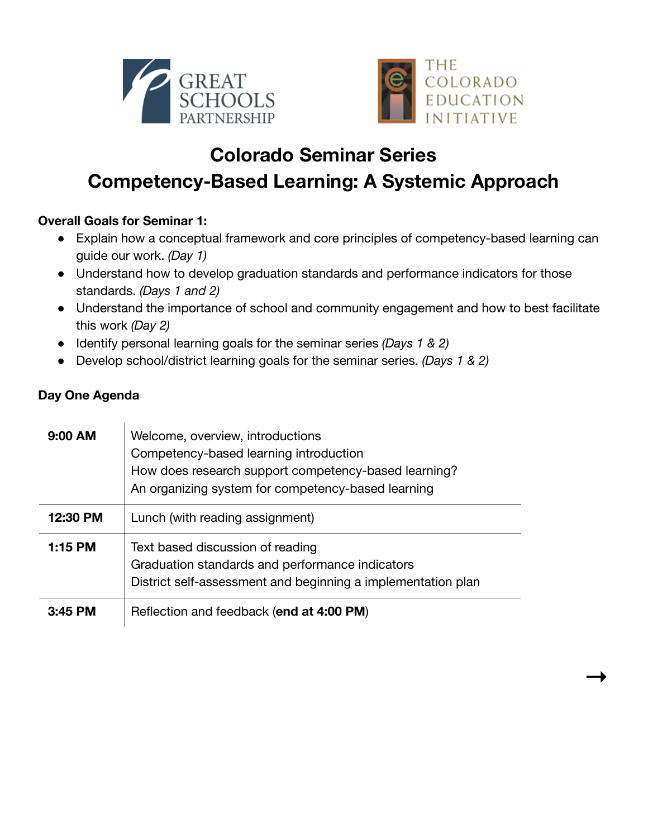



**→**

## **Colorado Seminar Series Competency-Based Learning: A Systemic Approach**

## **Overall Goals for Seminar 1:**

- Explain how a conceptual framework and core principles of competency-based learning can guide our work. *(Day 1)*
- Understand how to develop graduation standards and performance indicators for those standards. *(Days 1 and 2)*
- Understand the importance of school and community engagement and how to best facilitate this work *(Day 2)*
- Identify personal learning goals for the seminar series *(Days 1 & 2)*
- Develop school/district learning goals for the seminar series. *(Days 1 & 2)*

## **Day One Agenda**

| $9:00$ AM | Welcome, overview, introductions<br>Competency-based learning introduction<br>How does research support competency-based learning?<br>An organizing system for competency-based learning |
|-----------|------------------------------------------------------------------------------------------------------------------------------------------------------------------------------------------|
| 12:30 PM  | Lunch (with reading assignment)                                                                                                                                                          |
| 1:15 PM   | Text based discussion of reading<br>Graduation standards and performance indicators<br>District self-assessment and beginning a implementation plan                                      |
| $3:45$ PM | Reflection and feedback (end at 4:00 PM)                                                                                                                                                 |